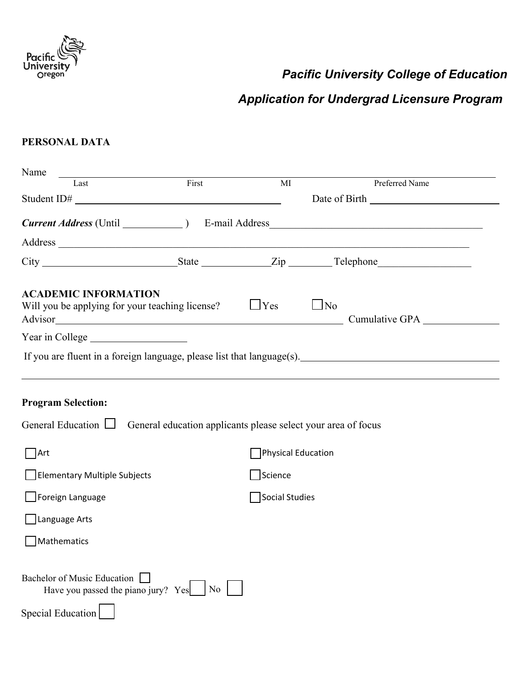

# *Pacific University College of Education*

# *Application for Undergrad Licensure Program*

### **PERSONAL DATA**

| Name                                                                                   |       |                |                    |                |  |
|----------------------------------------------------------------------------------------|-------|----------------|--------------------|----------------|--|
| Last                                                                                   | First | MI             |                    | Preferred Name |  |
| Student ID#                                                                            |       |                |                    |                |  |
|                                                                                        |       |                |                    |                |  |
|                                                                                        |       |                |                    |                |  |
|                                                                                        |       |                |                    |                |  |
| <b>ACADEMIC INFORMATION</b><br>Will you be applying for your teaching license?         |       | $\Box$ Yes     | $\Box$ No          | Cumulative GPA |  |
|                                                                                        |       |                |                    |                |  |
| If you are fluent in a foreign language, please list that $language(s)$ .              |       |                |                    |                |  |
|                                                                                        |       |                |                    |                |  |
| <b>Program Selection:</b>                                                              |       |                |                    |                |  |
| General Education $\Box$ General education applicants please select your area of focus |       |                |                    |                |  |
| Art                                                                                    |       |                | Physical Education |                |  |
| Elementary Multiple Subjects                                                           |       | Science        |                    |                |  |
| Foreign Language                                                                       |       | Social Studies |                    |                |  |
| Language Arts                                                                          |       |                |                    |                |  |
| Mathematics                                                                            |       |                |                    |                |  |
|                                                                                        |       |                |                    |                |  |
| <b>Bachelor of Music Education</b><br>Have you passed the piano jury? $Yes$   No       |       |                |                    |                |  |
| Special Education                                                                      |       |                |                    |                |  |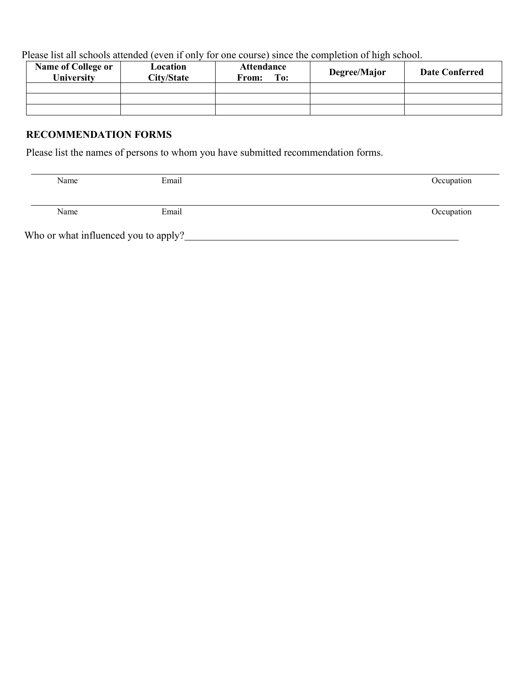Please list all schools attended (even if only for one course) since the completion of high school.

| <b>Name of College or</b><br><b>University</b> | Location<br><b>City/State</b> | <b>Attendance</b><br>To:<br>From: | Degree/Major | <b>Date Conferred</b> |
|------------------------------------------------|-------------------------------|-----------------------------------|--------------|-----------------------|
|                                                |                               |                                   |              |                       |
|                                                |                               |                                   |              |                       |
|                                                |                               |                                   |              |                       |

### **RECOMMENDATION FORMS**

Please list the names of persons to whom you have submitted recommendation forms.

| Name                                 | Email | Occupation |
|--------------------------------------|-------|------------|
|                                      |       |            |
| Name                                 | Email | Occupation |
| Who or what influenced you to apply? |       |            |